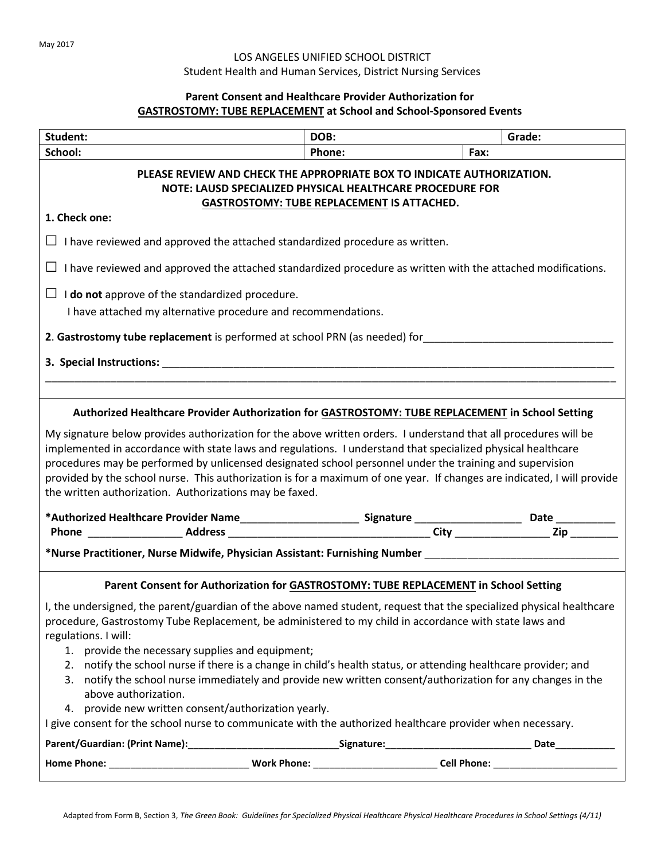## LOS ANGELES UNIFIED SCHOOL DISTRICT Student Health and Human Services, District Nursing Services

## **Parent Consent and Healthcare Provider Authorization for GASTROSTOMY: TUBE REPLACEMENT at School and School-Sponsored Events**

| Student:                                                                                                                                                                                                                                                                                                                                                                                                                                                                                                                                                                                                                                                                                                                                   | DOB:   |      | Grade: |  |  |
|--------------------------------------------------------------------------------------------------------------------------------------------------------------------------------------------------------------------------------------------------------------------------------------------------------------------------------------------------------------------------------------------------------------------------------------------------------------------------------------------------------------------------------------------------------------------------------------------------------------------------------------------------------------------------------------------------------------------------------------------|--------|------|--------|--|--|
| School:                                                                                                                                                                                                                                                                                                                                                                                                                                                                                                                                                                                                                                                                                                                                    | Phone: | Fax: |        |  |  |
| PLEASE REVIEW AND CHECK THE APPROPRIATE BOX TO INDICATE AUTHORIZATION.<br>NOTE: LAUSD SPECIALIZED PHYSICAL HEALTHCARE PROCEDURE FOR<br><b>GASTROSTOMY: TUBE REPLACEMENT IS ATTACHED.</b>                                                                                                                                                                                                                                                                                                                                                                                                                                                                                                                                                   |        |      |        |  |  |
| 1. Check one:                                                                                                                                                                                                                                                                                                                                                                                                                                                                                                                                                                                                                                                                                                                              |        |      |        |  |  |
| $\Box$ I have reviewed and approved the attached standardized procedure as written.                                                                                                                                                                                                                                                                                                                                                                                                                                                                                                                                                                                                                                                        |        |      |        |  |  |
| $\Box$ I have reviewed and approved the attached standardized procedure as written with the attached modifications.                                                                                                                                                                                                                                                                                                                                                                                                                                                                                                                                                                                                                        |        |      |        |  |  |
| $\Box$ <b>I do not</b> approve of the standardized procedure.                                                                                                                                                                                                                                                                                                                                                                                                                                                                                                                                                                                                                                                                              |        |      |        |  |  |
| I have attached my alternative procedure and recommendations.                                                                                                                                                                                                                                                                                                                                                                                                                                                                                                                                                                                                                                                                              |        |      |        |  |  |
| 2. Gastrostomy tube replacement is performed at school PRN (as needed) for                                                                                                                                                                                                                                                                                                                                                                                                                                                                                                                                                                                                                                                                 |        |      |        |  |  |
| 3. Special Instructions: the contract of the contract of the contract of the contract of the contract of the contract of the contract of the contract of the contract of the contract of the contract of the contract of the c                                                                                                                                                                                                                                                                                                                                                                                                                                                                                                             |        |      |        |  |  |
|                                                                                                                                                                                                                                                                                                                                                                                                                                                                                                                                                                                                                                                                                                                                            |        |      |        |  |  |
| Authorized Healthcare Provider Authorization for GASTROSTOMY: TUBE REPLACEMENT in School Setting<br>My signature below provides authorization for the above written orders. I understand that all procedures will be<br>implemented in accordance with state laws and regulations. I understand that specialized physical healthcare<br>procedures may be performed by unlicensed designated school personnel under the training and supervision<br>provided by the school nurse. This authorization is for a maximum of one year. If changes are indicated, I will provide<br>the written authorization. Authorizations may be faxed.                                                                                                     |        |      |        |  |  |
|                                                                                                                                                                                                                                                                                                                                                                                                                                                                                                                                                                                                                                                                                                                                            |        |      |        |  |  |
| *Nurse Practitioner, Nurse Midwife, Physician Assistant: Furnishing Number ___________________________________                                                                                                                                                                                                                                                                                                                                                                                                                                                                                                                                                                                                                             |        |      |        |  |  |
| Parent Consent for Authorization for GASTROSTOMY: TUBE REPLACEMENT in School Setting                                                                                                                                                                                                                                                                                                                                                                                                                                                                                                                                                                                                                                                       |        |      |        |  |  |
| I, the undersigned, the parent/guardian of the above named student, request that the specialized physical healthcare<br>procedure, Gastrostomy Tube Replacement, be administered to my child in accordance with state laws and<br>regulations. I will:<br>1. provide the necessary supplies and equipment;<br>2. notify the school nurse if there is a change in child's health status, or attending healthcare provider; and<br>3. notify the school nurse immediately and provide new written consent/authorization for any changes in the<br>above authorization.<br>4. provide new written consent/authorization yearly.<br>I give consent for the school nurse to communicate with the authorized healthcare provider when necessary. |        |      |        |  |  |
|                                                                                                                                                                                                                                                                                                                                                                                                                                                                                                                                                                                                                                                                                                                                            |        |      |        |  |  |
|                                                                                                                                                                                                                                                                                                                                                                                                                                                                                                                                                                                                                                                                                                                                            |        |      |        |  |  |